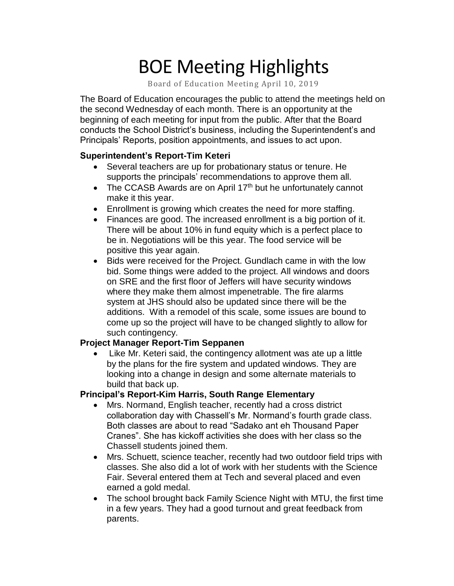# BOE Meeting Highlights

Board of Education Meeting April 10, 2019

 The Board of Education encourages the public to attend the meetings held on the second Wednesday of each month. There is an opportunity at the beginning of each meeting for input from the public. After that the Board conducts the School District's business, including the Superintendent's and Principals' Reports, position appointments, and issues to act upon.

#### **Superintendent's Report-Tim Keteri**

- Several teachers are up for probationary status or tenure. He supports the principals' recommendations to approve them all.
- The CCASB Awards are on April  $17<sup>th</sup>$  but he unfortunately cannot make it this year.
- Enrollment is growing which creates the need for more staffing.
- Finances are good. The increased enrollment is a big portion of it. There will be about 10% in fund equity which is a perfect place to be in. Negotiations will be this year. The food service will be positive this year again.
- additions. With a remodel of this scale, some issues are bound to • Bids were received for the Project. Gundlach came in with the low bid. Some things were added to the project. All windows and doors on SRE and the first floor of Jeffers will have security windows where they make them almost impenetrable. The fire alarms system at JHS should also be updated since there will be the come up so the project will have to be changed slightly to allow for such contingency.

#### **Project Manager Report-Tim Seppanen**

Like Mr. Keteri said, the contingency allotment was ate up a little by the plans for the fire system and updated windows. They are looking into a change in design and some alternate materials to build that back up.

## **Principal's Report-Kim Harris, South Range Elementary**

- • Mrs. Normand, English teacher, recently had a cross district collaboration day with Chassell's Mr. Normand's fourth grade class. Both classes are about to read "Sadako ant eh Thousand Paper Cranes". She has kickoff activities she does with her class so the Chassell students joined them.
- • Mrs. Schuett, science teacher, recently had two outdoor field trips with classes. She also did a lot of work with her students with the Science Fair. Several entered them at Tech and several placed and even earned a gold medal.
- • The school brought back Family Science Night with MTU, the first time in a few years. They had a good turnout and great feedback from parents.